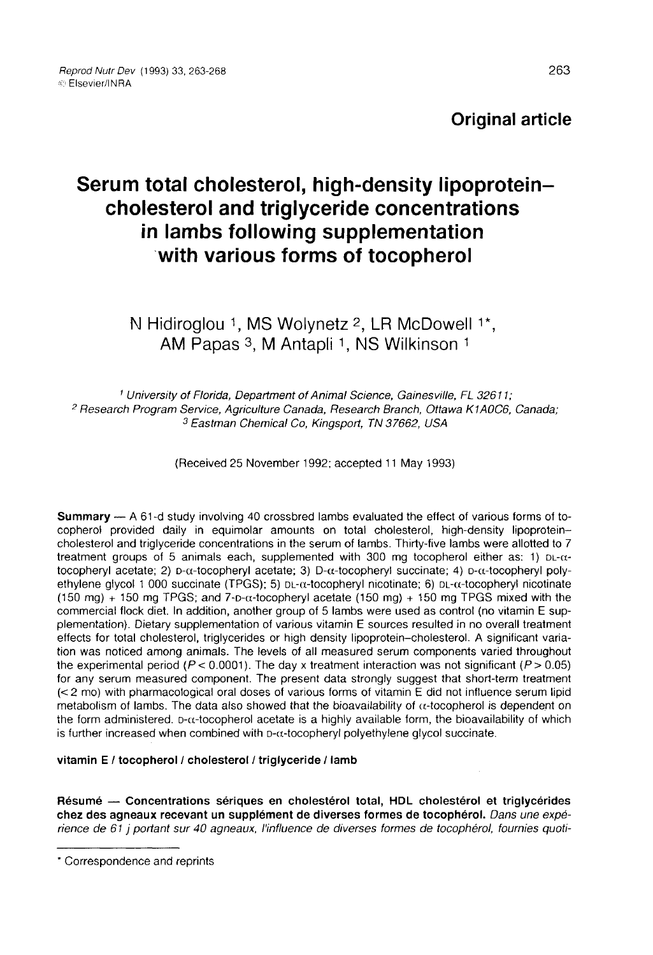Original article

# Serum total cholesterol, high-density lipoproteincholesterol and triglyceride concentrations in lambs following supplementation with various forms of tocopherol

## N Hidiroglou <sup>1</sup>, MS Wolynetz <sup>2</sup>, LR McDowell <sup>1\*</sup>, AM Papas 3, M Antapli 1, NS Wilkinson 1

<sup>1</sup> University of Florida, Department of Animal Science, Gainesville, FL 32611; <sup>2</sup> Research Program Service, Agriculture Canada, Research Branch, Ottawa K1AOC6, Canada; <sup>3</sup> Eastman Chemical Co, Kingsport, TN 37662, USA

(Received 25 November 1992; accepted 11 May 1993)

Summary ― A 61-d study involving 40 crossbred lambs evaluated the effect of various forms of tocopherol provided daily in equimolar amounts on total cholesterol, high-density lipoproteincholesterol and triglyceride concentrations in the serum of lambs. Thirty-five lambs were allotted to 7 treatment groups of 5 animals each, supplemented with 300 mg tocopherol either as: 1)  $DL-\alpha$ -tocopheryl acetate; 2)  $D-\alpha$ -tocopheryl acetate; 3)  $D-\alpha$ -tocopheryl succinate; 4)  $D-\alpha$ -tocopheryl poly-**Summary** — A 61-d study involving 40 crossbred lambs evaluated the effect of various forms of to-<br>copherol provided daily in equimolar amounts on total cholesterol, high-density lipoprotein-<br>cholesterol and triglyceride ethylene glycol 1 000 succinate (TPGS); 5)  $DL-\alpha$ -tocopheryl nicotinate; 6)  $DL-\alpha$ -tocopheryl nicotinate<br>(150 mg) + 150 mg TPGS; and 7- $D-\alpha$ -tocopheryl acetate (150 mg) + 150 mg TPGS mixed with the **Summary** — A 61-d study involving 40 crossbred lambs evaluated the effect of various forms of to-<br>copherol provided daily in equimolar amounts on total cholesterol, high-density lipoprotein-<br>cholesterol and triglyceride commercial flock diet. In addition, another group of 5 lambs were used as control (no vitamin E supplementation). Dietary supplementation of various vitamin E sources resulted in no overall treatment effects for total cholesterol, triglycerides or high density lipoprotein-cholesterol. A significant variation was noticed among animals. The levels of all measured serum components varied throughout the experimental period ( $P < 0.0001$ ). The day x treatment interaction was not significant ( $P > 0.05$ for any serum measured component. The present data strongly suggest that short-term treatment (< 2 mo) with pharmacological oral doses of various forms of vitamin E did not influence serum lipid metabolism of lambs. The data also showed that the bioavailability of  $\alpha$ -tocopherol is dependent on the form administered. D- $\alpha$ -tocopherol acetate is a highly available form, the bioavailability of which effects for total cholesterol, triglycerides or high density lipoprotein-cholesterol. A significant varia-<br>tion was noticed among animals. The levels of all measured serum components varied throughout<br>the experimental per is further increased when combined with  $p-\alpha$ -tocopheryl polyethylene glycol succinate.

#### vitamin E / tocopherol / cholesterol / triglyceride / lamb

Résumé ― Concentrations sériques en cholestérol total, HDL cholestérol et triglycérides chez des agneaux recevant un supplément de diverses formes de tocophérol. Dans une expérience de 61 j portant sur 40 agneaux, l'influence de diverses formes de tocophérol, fournies quoti-

<sup>\*</sup> Correspondence and reprints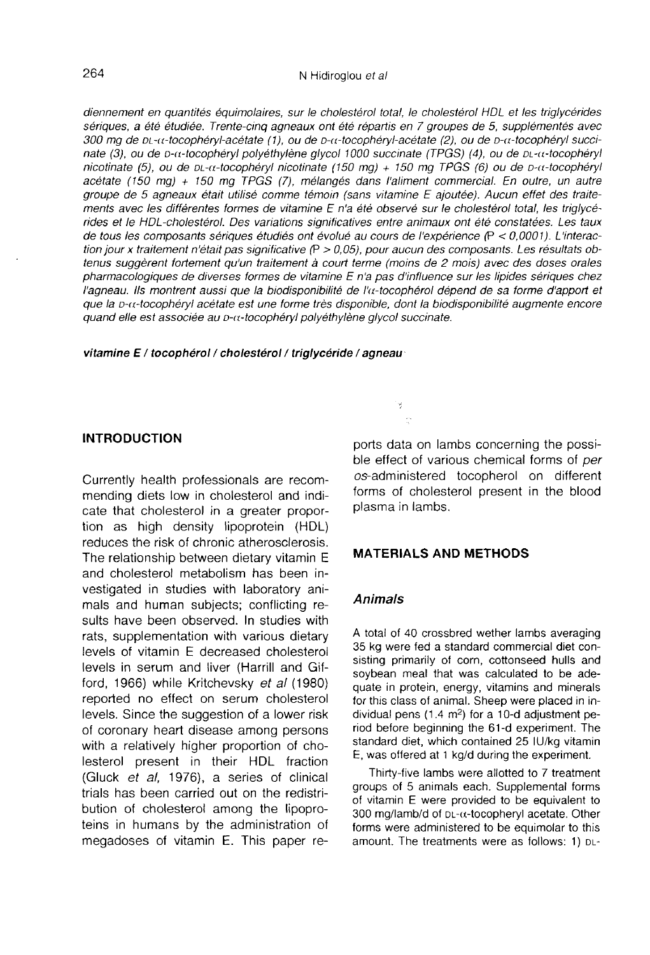diennement en quantités équimolaires, sur le cholestérol total, le cholestérol HDL et les triglycérides sériques, a été étudiée. Trente-cinq agneaux ont été répartis en 7 groupes de 5, supplémentés avec 300 mg de pt-u-tocophéryl-acétate (1), ou de p-u-tocophéryl-acétate (2), ou de p-u-tocophéryl succinate (3), ou de D-α-tocophéryl polyéthylène glycol 1000 succinate (TPGS) (4), ou de DL-α-tocophéryl nicotinate (5), ou de  $DL-\alpha$ -tocophéryl nicotinate (150 mg) + 150 mg TPGS (6) ou de  $D-\alpha$ -tocophéryl acétate (150 mg) + 150 mg TPGS (7), mélangés dans l'aliment commercial. En outre, un autre groupe de 5 agneaux était utilisé comme témoin (sans vitamine E ajoutée). Aucun effet des traitements avec les différentes formes de vitamine E n'a été observé sur le cholestérol total, les triglycérides et le HDL-cholestérol. Des variations significatives entre animaux ont été constatées. Les taux de tous les composants sériques étudiés ont évolué au cours de l'expérience (P < 0,0001). L'interaction jour x traitement n'était pas significative (P > 0,05), pour aucun des composants. Les résultats obtenus suggèrent fortement qu'un traitement à court terme (moins de 2 mois) avec des doses orales pharmacologiques de diverses formes de vitamine E n'a pas d'influence sur les lipides sériques chez l'agneau. Ils montrent aussi que la biodisponibilité de l' $\alpha$ -tocophérol dépend de sa forme d'apport et que la D-a-tocophéryl acétate est une forme très disponible, dont la biodisponibilité augmente encore quand elle est associée au D-a-tocophéryl polyéthylène glycol succinate.

vitamine E / tocophérol / cholestérol / triglycéride / agneau

#### INTRODUCTION

Currently health professionals are recommending diets low in cholesterol and indicate that cholesterol in a greater proportion as high density lipoprotein (HDL) reduces the risk of chronic atherosclerosis. The relationship between dietary vitamin E and cholesterol metabolism has been investigated in studies with laboratory animals and human subjects; conflicting results have been observed. In studies with rats, supplementation with various dietary levels of vitamin E decreased cholesterol levels in serum and liver (Harrill and Gifford, 1966) while Kritchevsky et al (1980) reported no effect on serum cholesterol levels. Since the suggestion of a lower risk of coronary heart disease among persons with a relatively higher proportion of cholesterol present in their HDL fraction (Gluck et al, 1976), a series of clinical trials has been carried out on the redistribution of cholesterol among the lipoproteins in humans by the administration of megadoses of vitamin E. This paper reports data on lambs concerning the possible effect of various chemical forms of per os-administered tocopherol on different forms of cholesterol present in the blood plasma in lambs.

#### MATERIALS AND METHODS

#### Animals

ý

A total of 40 crossbred wether lambs averaging 35 kg were fed a standard commercial diet consisting primarily of corn, cottonseed hulls and soybean meal that was calculated to be adequate in protein, energy, vitamins and minerals for this class of animal. Sheep were placed in individual pens  $(1.4 \text{ m}^2)$  for a 10-d adjustment period before beginning the 61-d experiment. The standard diet, which contained 25 IU/kg vitamin E, was offered at 1 kg/d during the experiment.

Thirty-five lambs were allotted to 7 treatment groups of 5 animals each. Supplemental forms of vitamin E were provided to be equivalent to Thirty-five lambs were allotted to 7 treatment<br>groups of 5 animals each. Supplemental forms<br>of vitamin E were provided to be equivalent to<br>300 mg/lamb/d of  $DL-ct$ -tocopheryl acetate. Other<br>forms were administered to be equi forms were administered to be equimolar to this amount. The treatments were as follows: 1) DL-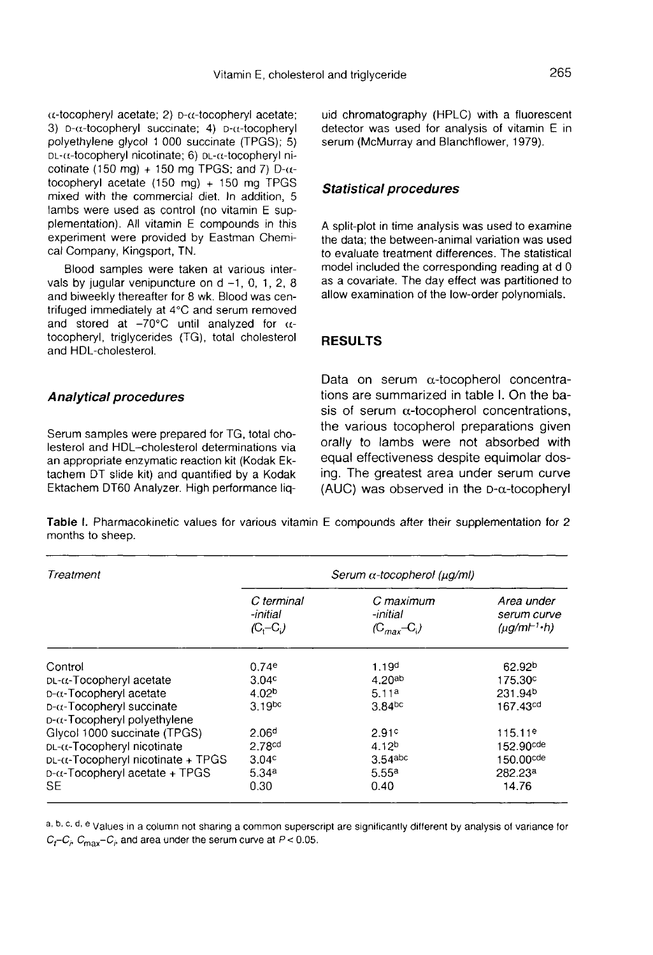Vitamin E, chole<br>
Vitamin E, chole<br>
(a-tocopheryl acetate; 2) D- $\alpha$ -tocopheryl acetate;<br>
(a-tocopheryl succinate; 4) D- $\alpha$ -tocopheryl<br>
polyethylene glycol 1 000 succinate (TPGS); 5) Vitamin E, chole<br>3) D-a-tocopheryl acetate; 2) D-a-tocopheryl acetate;<br>3) D-a-tocopheryl succinate; 4) D-a-tocopheryl<br>polyethylene glycol 1 000 succinate (TPGS); 5)<br>pu-a-tocopheryl nicotinate: 6) pu-a-tocopheryl nipolyethylene glycol 1 000 succinate (TPGS); 5)<br>DL-α-tocopheryl nicotinate; 6) DL-α-tocopheryl ni- $\alpha$ -tocopheryl acetate; 2)  $D-\alpha$ -tocopheryl acetate; 3)  $D-\alpha$ -tocopheryl succinate; 4)  $D-\alpha$ -tocopheryl cotinate (150 mg) + 150 mg TPGS; and 7) D- $\alpha$ tocopheryl acetate (150 mg) + 150 mg TPGS mixed with the commercial diet. In addition, 5 lambs were used as control (no vitamin E supplementation). All vitamin E compounds in this experiment were provided by Eastman Chemical Company, Kingsport, TN.

Blood samples were taken at various intervals by jugular venipuncture on  $d -1$ , 0, 1, 2, 8 and biweekly thereafter for 8 wk. Blood was centrifuged immediately at 4°C and serum removed and stored at  $-70^{\circ}$ C until analyzed for  $\alpha$ tocopheryl, triglycerides (TG), total cholesterol and HDL-cholesterol.

#### Analytical procedures

Serum samples were prepared for TG, total cholesterol and HDL-cholesterol determinations via an appropriate enzymatic reaction kit (Kodak Ektachem DT slide kit) and quantified by a Kodak Ektachem DT60 Analyzer. High performance liquid chromatography (HPLC) with a fluorescent detector was used for analysis of vitamin E in serum (McMurray and Blanchflower, 1979).

#### Statistical procedures

A split-plot in time analysis was used to examine the data; the between-animal variation was used to evaluate treatment differences. The statistical model included the corresponding reading at d 0 as a covariate. The day effect was partitioned to allow examination of the low-order polynomials.

#### RESULTS

Data on serum  $\alpha$ -tocopherol concentrations are summarized in table I. On the basis of serum  $\alpha$ -tocopherol concentrations, the various tocopherol preparations given orally to lambs were not absorbed with equal effectiveness despite equimolar dosing. The greatest area under serum curve (AUC) was observed in the  $D-\alpha$ -tocopheryl

Table I. Pharmacokinetic values for various vitamin E compounds after their supplementation for 2 months to sheep.

| Treatment                                 | Serum $\alpha$ -tocopherol ( $\mu$ q/ml) |                                          |                                              |  |  |  |
|-------------------------------------------|------------------------------------------|------------------------------------------|----------------------------------------------|--|--|--|
|                                           | C terminal<br>-initial<br>$(C, -C)$      | C maximum<br>-initial<br>$(C_{max}-C_i)$ | Area under<br>serum curve<br>$(\mu q/m + h)$ |  |  |  |
| Control                                   | 0.74e                                    | 1.19 <sup>d</sup>                        | 62.92 <sup>b</sup>                           |  |  |  |
| $DL-\alpha$ -Tocopheryl acetate           | 3.04 <sup>c</sup>                        | 4.20ab                                   | 175.30°                                      |  |  |  |
| $D-\alpha$ -Tocopheryl acetate            | 4.02 <sup>b</sup>                        | 5.11 <sup>a</sup>                        | 231.94 <sup>b</sup>                          |  |  |  |
| $D-\alpha$ -Tocopheryl succinate          | 3.19 <sub>pc</sub>                       | 3.84 <sup>bc</sup>                       | 167.43 <sup>cd</sup>                         |  |  |  |
| D-α-Tocopheryl polyethylene               |                                          |                                          |                                              |  |  |  |
| Glycol 1000 succinate (TPGS)              | 2.06 <sup>d</sup>                        | 2.91c                                    | 115.11 <sup>e</sup>                          |  |  |  |
| $DL-\alpha$ -Tocopheryl nicotinate        | 2.78 <sup>cd</sup>                       | 4.12 <sup>b</sup>                        | 152.90cde                                    |  |  |  |
| $DL-\alpha$ -Tocopheryl nicotinate + TPGS | 3.04 <sup>c</sup>                        | 3.54abc                                  | 150.00cde                                    |  |  |  |
| $D-\alpha$ -Tocopheryl acetate + TPGS     | 5.34a                                    | 5.55a                                    | 282.23ª                                      |  |  |  |
| SE                                        | 0.30                                     | 0.40                                     | 14.76                                        |  |  |  |

a, b, c, d, e Values in a column not sharing a common superscript are significantly different by analysis of variance for  $C_t-C_i$ ,  $C_{\text{max}}-C_i$ , and area under the serum curve at  $P < 0.05$ .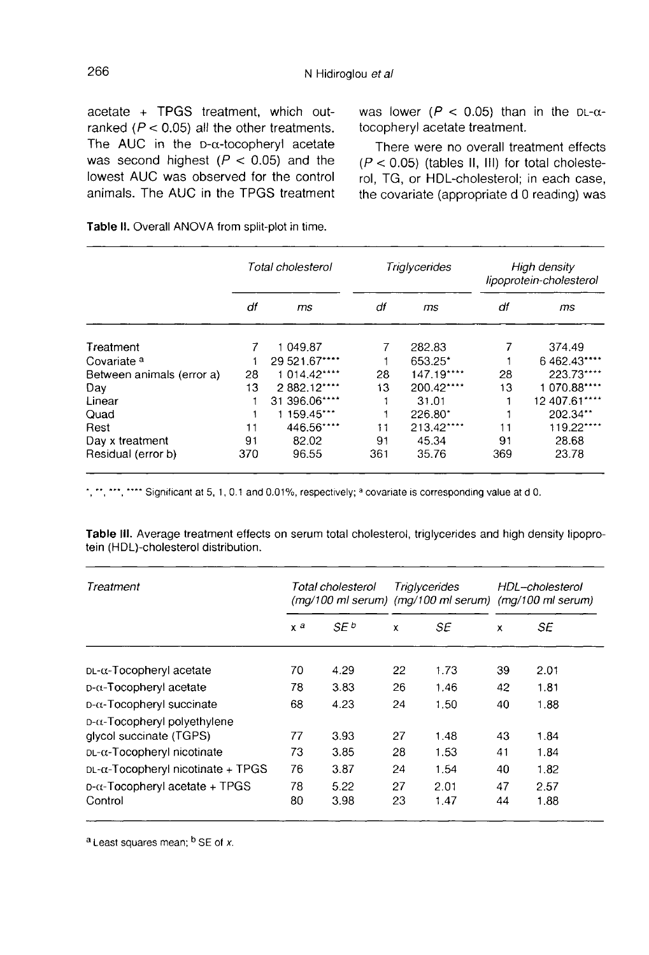acetate + TPGS treatment, which outranked ( $P < 0.05$ ) all the other treatments. The AUC in the  $D-\alpha$ -tocopheryl acetate was second highest ( $P < 0.05$ ) and the lowest AUC was observed for the control animals. The AUC in the TPGS treatment was lower ( $P < 0.05$ ) than in the DL- $\alpha$ tocopheryl acetate treatment.

There were no overall treatment effects  $(P < 0.05)$  (tables II, III) for total cholesterol, TG, or HDL-cholesterol; in each case, the covariate (appropriate d 0 reading) was

|                           | Total cholesterol |               | Triglycerides |            | High density<br>lipoprotein-cholesterol |               |
|---------------------------|-------------------|---------------|---------------|------------|-----------------------------------------|---------------|
|                           | df                | ms            | df            | ms         | df                                      | ms            |
| Treatment                 | 7                 | 1 049.87      |               | 282.83     |                                         | 374.49        |
| Covariate <sup>a</sup>    |                   | 29 521.67**** |               | 653.25*    |                                         | 6 462.43****  |
| Between animals (error a) | 28                | 1 014.42****  | 28            | 147.19**** | 28                                      | 223.73****    |
| Day                       | 13                | 2882.12****   | 13            | 200.42**** | 13                                      | 1 070.88****  |
| Linear                    |                   | 31 396.06**** |               | 31.01      |                                         | 12 407.61**** |
| Quad                      |                   | 1 159.45***   |               | $226.80^*$ |                                         | 202.34**      |
| Rest                      | 11                | 446.56****    | 11            | 213.42**** | 11                                      | 119.22****    |
| Day x treatment           | 91                | 82.02         | 91            | 45.34      | 91                                      | 28.68         |
| Residual (error b)        | 370               | 96.55         | 361           | 35.76      | 369                                     | 23.78         |

Table II. Overall ANOVA from split-plot in time.

", "", "", ""\*" Significant at 5, 1, 0.1 and 0.01%, respectively; a covariate is corresponding value at d 0.

Table III. Average treatment effects on serum total cholesterol, triglycerides and high density lipoprotein (HDL)-cholesterol distribution.

| Treatment                                 | Total cholesterol |      | Trialycerides<br>$(mq/100 \text{ ml} \text{ serum})$ (m $q/100 \text{ ml} \text{ serum}$ ) (m $q/100 \text{ ml} \text{ serum}$ ) |      | HDL-cholesterol |      |
|-------------------------------------------|-------------------|------|----------------------------------------------------------------------------------------------------------------------------------|------|-----------------|------|
|                                           | $x^a$             | SE b | x                                                                                                                                | SE   | x               | SE   |
| $DL-\alpha$ -Tocopheryl acetate           | 70                | 4.29 | 22                                                                                                                               | 1.73 | 39              | 2.01 |
| $D-\alpha$ -Tocopheryl acetate            | 78                | 3.83 | 26                                                                                                                               | 1.46 | 42              | 1.81 |
| D-α-Tocopheryl succinate                  | 68                | 4.23 | 24                                                                                                                               | 1.50 | 40              | 1.88 |
| $D-\alpha$ -Tocopheryl polyethylene       |                   |      |                                                                                                                                  |      |                 |      |
| glycol succinate (TGPS)                   | 77                | 3.93 | 27                                                                                                                               | 1.48 | 43              | 1.84 |
| DL-α-Tocopheryl nicotinate                | 73                | 3.85 | 28                                                                                                                               | 1.53 | 41              | 1.84 |
| $DL-\alpha$ -Tocopheryl nicotinate + TPGS | 76                | 3.87 | 24                                                                                                                               | 1.54 | 40              | 1.82 |
| $D$ - $\alpha$ -Tocopheryl acetate + TPGS | 78                | 5.22 | 27                                                                                                                               | 2.01 | 47              | 2.57 |
| Control                                   | 80                | 3.98 | 23                                                                                                                               | 1.47 | 44              | 1.88 |

a Least squares mean; <sup>b</sup> SE of x.

266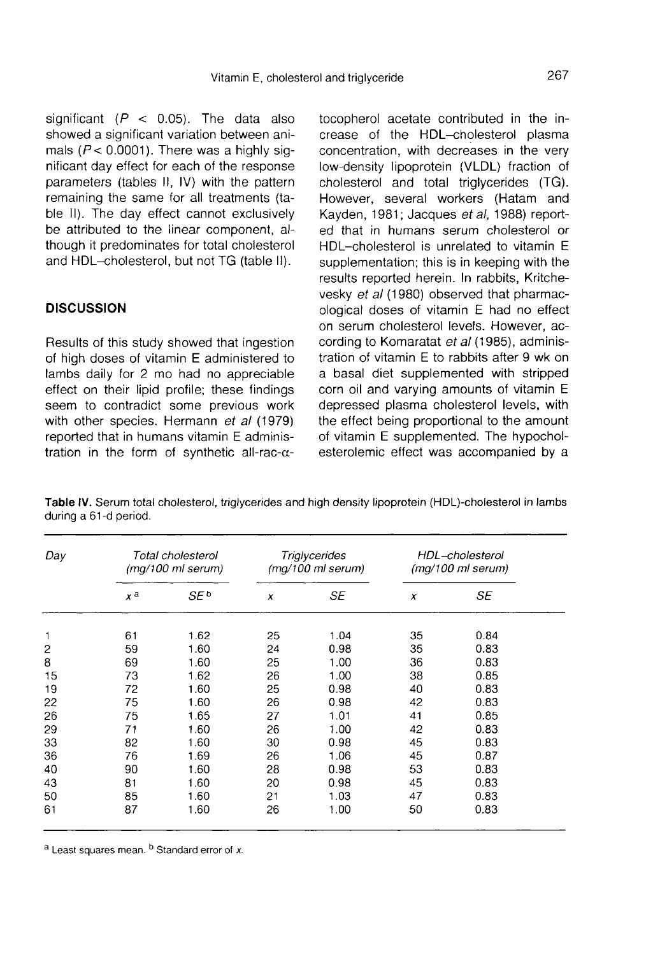significant ( $P$  < 0.05). The data also showed a significant variation between animals ( $P < 0.0001$ ). There was a highly significant day effect for each of the response parameters (tables II, IV) with the pattern remaining the same for all treatments (table II). The day effect cannot exclusively be attributed to the linear component, although it predominates for total cholesterol and HDL-cholesterol, but not TG (table II).

#### **DISCUSSION**

Results of this study showed that ingestion of high doses of vitamin E administered to lambs daily for 2 mo had no appreciable effect on their lipid profile; these findings seem to contradict some previous work with other species. Hermann et al (1979) reported that in humans vitamin E administration in the form of synthetic all-rac- $\alpha$ - tocopherol acetate contributed in the increase of the HDL-cholesterol plasma concentration, with decreases in the very low-density lipoprotein (VLDL) fraction of cholesterol and total triglycerides (TG). However, several workers (Hatam and Kayden, 1981; Jacques et al, 1988) reported that in humans serum cholesterol or HDL-cholesterol is unrelated to vitamin E supplementation; this is in keeping with the results reported herein. In rabbits, Kritchevesky et al (1980) observed that pharmacological doses of vitamin E had no effect on serum cholesterol levels. However, according to Komaratat et al (1985), administration of vitamin E to rabbits after 9 wk on a basal diet supplemented with stripped corn oil and varying amounts of vitamin E depressed plasma cholesterol levels, with the effect being proportional to the amount of vitamin E supplemented. The hypocholesterolemic effect was accompanied by a

| Day            | Total cholesterol<br>(mg/100 ml serum) |      | <b>Triglycerides</b><br>(mg/100 ml serum) |      | HDL-cholesterol<br>(mg/100 ml serum) |      |  |
|----------------|----------------------------------------|------|-------------------------------------------|------|--------------------------------------|------|--|
|                | $x^a$                                  | SE b | $\pmb{\chi}$                              | SE   | x                                    | SE   |  |
| 1              | 61                                     | 1.62 | 25                                        | 1.04 | 35                                   | 0.84 |  |
| $\overline{c}$ | 59                                     | 1.60 | 24                                        | 0.98 | 35                                   | 0.83 |  |
| 8              | 69                                     | 1.60 | 25                                        | 1.00 | 36                                   | 0.83 |  |
| 15             | 73                                     | 1.62 | 26                                        | 1.00 | 38                                   | 0.85 |  |
| 19             | 72                                     | 1.60 | 25                                        | 0.98 | 40                                   | 0.83 |  |
| 22             | 75                                     | 1.60 | 26                                        | 0.98 | 42                                   | 0.83 |  |
| 26             | 75                                     | 1.65 | 27                                        | 1.01 | 41                                   | 0.85 |  |
| 29             | 71                                     | 1.60 | 26                                        | 1.00 | 42                                   | 0.83 |  |
| 33             | 82                                     | 1.60 | 30                                        | 0.98 | 45                                   | 0.83 |  |
| 36             | 76                                     | 1.69 | 26                                        | 1.06 | 45                                   | 0.87 |  |
| 40             | 90                                     | 1.60 | 28                                        | 0.98 | 53                                   | 0.83 |  |
| 43             | 81                                     | 1.60 | 20                                        | 0.98 | 45                                   | 0.83 |  |
| 50             | 85                                     | 1.60 | 21                                        | 1.03 | 47                                   | 0.83 |  |
| 61             | 87                                     | 1.60 | 26                                        | 1.00 | 50                                   | 0.83 |  |

Table IV. Serum total cholesterol, triglycerides and high density lipoprotein (HDL)-cholesterol in lambs during a 61-d period.

a Least squares mean. b Standard error of x.